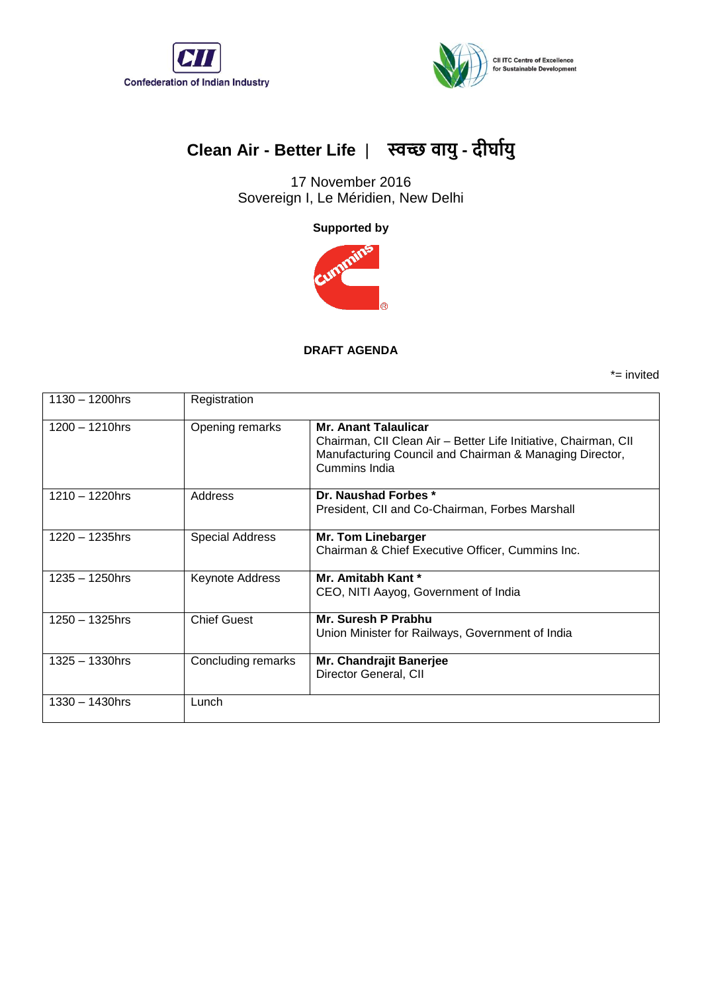



## **Clean Air - Better Life** | **स्वच्छ वायु- दीर्ाायु**

17 November 2016 Sovereign I, Le Méridien, New Delhi

**Supported by**



## **DRAFT AGENDA**

\*= invited

| $1130 - 1200$ hrs | Registration           |                                                                                                                                                                            |
|-------------------|------------------------|----------------------------------------------------------------------------------------------------------------------------------------------------------------------------|
| $1200 - 1210$ hrs | Opening remarks        | <b>Mr. Anant Talaulicar</b><br>Chairman, CII Clean Air - Better Life Initiative, Chairman, CII<br>Manufacturing Council and Chairman & Managing Director,<br>Cummins India |
| $1210 - 1220$ hrs | Address                | Dr. Naushad Forbes *<br>President, CII and Co-Chairman, Forbes Marshall                                                                                                    |
| 1220 - 1235hrs    | <b>Special Address</b> | Mr. Tom Linebarger<br>Chairman & Chief Executive Officer, Cummins Inc.                                                                                                     |
| 1235 - 1250hrs    | Keynote Address        | Mr. Amitabh Kant *<br>CEO, NITI Aayog, Government of India                                                                                                                 |
| 1250 – 1325hrs    | <b>Chief Guest</b>     | Mr. Suresh P Prabhu<br>Union Minister for Railways, Government of India                                                                                                    |
| $1325 - 1330$ hrs | Concluding remarks     | Mr. Chandrajit Banerjee<br>Director General, CII                                                                                                                           |
| 1330 - 1430hrs    | Lunch                  |                                                                                                                                                                            |